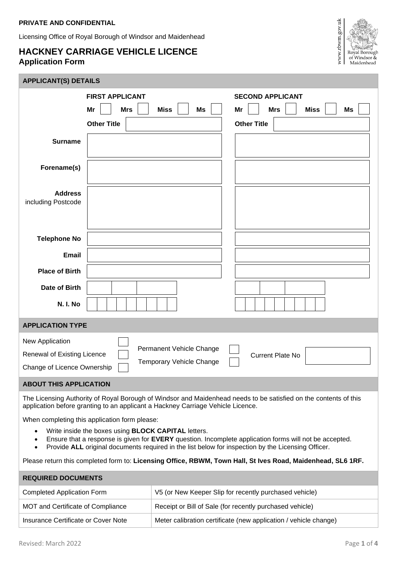## **PRIVATE AND CONFIDENTIAL**

Licensing Office of Royal Borough of Windsor and Maidenhead

## **HACKNEY CARRIAGE VEHICLE LICENCE Application Form**



## **APPLICANT(S) DETAILS**

| <b>FIRST APPLICANT</b>                                                                                                                                                                              |                   | <b>SECOND APPLICANT</b>                                                                                                                                                                                      |  |  |  |
|-----------------------------------------------------------------------------------------------------------------------------------------------------------------------------------------------------|-------------------|--------------------------------------------------------------------------------------------------------------------------------------------------------------------------------------------------------------|--|--|--|
| Mr<br><b>Mrs</b>                                                                                                                                                                                    | <b>Miss</b><br>Ms | <b>Miss</b><br>Ms<br>Mr<br><b>Mrs</b>                                                                                                                                                                        |  |  |  |
| <b>Other Title</b>                                                                                                                                                                                  |                   | <b>Other Title</b>                                                                                                                                                                                           |  |  |  |
| <b>Surname</b>                                                                                                                                                                                      |                   |                                                                                                                                                                                                              |  |  |  |
| Forename(s)                                                                                                                                                                                         |                   |                                                                                                                                                                                                              |  |  |  |
| <b>Address</b><br>including Postcode                                                                                                                                                                |                   |                                                                                                                                                                                                              |  |  |  |
| <b>Telephone No</b>                                                                                                                                                                                 |                   |                                                                                                                                                                                                              |  |  |  |
| <b>Email</b>                                                                                                                                                                                        |                   |                                                                                                                                                                                                              |  |  |  |
| <b>Place of Birth</b>                                                                                                                                                                               |                   |                                                                                                                                                                                                              |  |  |  |
| <b>Date of Birth</b>                                                                                                                                                                                |                   |                                                                                                                                                                                                              |  |  |  |
| N. I. No                                                                                                                                                                                            |                   |                                                                                                                                                                                                              |  |  |  |
| <b>APPLICATION TYPE</b>                                                                                                                                                                             |                   |                                                                                                                                                                                                              |  |  |  |
| New Application<br>Permanent Vehicle Change<br>Renewal of Existing Licence<br><b>Current Plate No</b><br>Temporary Vehicle Change<br>Change of Licence Ownership                                    |                   |                                                                                                                                                                                                              |  |  |  |
| <b>ABOUT THIS APPLICATION</b>                                                                                                                                                                       |                   |                                                                                                                                                                                                              |  |  |  |
| The Licensing Authority of Royal Borough of Windsor and Maidenhead needs to be satisfied on the contents of this<br>application before granting to an applicant a Hackney Carriage Vehicle Licence. |                   |                                                                                                                                                                                                              |  |  |  |
| When completing this application form please:                                                                                                                                                       |                   |                                                                                                                                                                                                              |  |  |  |
| Write inside the boxes using <b>BLOCK CAPITAL</b> letters.<br>$\bullet$<br>٠<br>$\bullet$                                                                                                           |                   | Ensure that a response is given for EVERY question. Incomplete application forms will not be accepted.<br>Provide ALL original documents required in the list below for inspection by the Licensing Officer. |  |  |  |
|                                                                                                                                                                                                     |                   | Please return this completed form to: Licensing Office, RBWM, Town Hall, St Ives Road, Maidenhead, SL6 1RF.                                                                                                  |  |  |  |
| <b>REQUIRED DOCUMENTS</b>                                                                                                                                                                           |                   |                                                                                                                                                                                                              |  |  |  |
| V5 (or New Keeper Slip for recently purchased vehicle)<br><b>Completed Application Form</b>                                                                                                         |                   |                                                                                                                                                                                                              |  |  |  |
| MOT and Certificate of Compliance<br>Receipt or Bill of Sale (for recently purchased vehicle)                                                                                                       |                   |                                                                                                                                                                                                              |  |  |  |

Meter calibration certificate (new application / vehicle change)

Insurance Certificate or Cover Note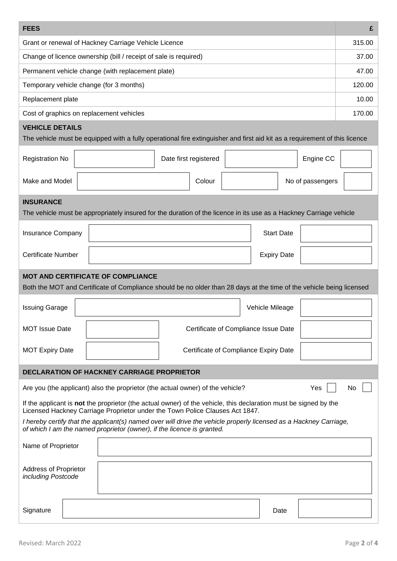| <b>FEES</b>                                                                                                                                                                                      | £      |  |  |  |  |  |
|--------------------------------------------------------------------------------------------------------------------------------------------------------------------------------------------------|--------|--|--|--|--|--|
| Grant or renewal of Hackney Carriage Vehicle Licence                                                                                                                                             |        |  |  |  |  |  |
| Change of licence ownership (bill / receipt of sale is required)                                                                                                                                 | 37.00  |  |  |  |  |  |
| Permanent vehicle change (with replacement plate)                                                                                                                                                | 47.00  |  |  |  |  |  |
| Temporary vehicle change (for 3 months)                                                                                                                                                          | 120.00 |  |  |  |  |  |
| Replacement plate                                                                                                                                                                                | 10.00  |  |  |  |  |  |
| Cost of graphics on replacement vehicles                                                                                                                                                         | 170.00 |  |  |  |  |  |
| <b>VEHICLE DETAILS</b>                                                                                                                                                                           |        |  |  |  |  |  |
| The vehicle must be equipped with a fully operational fire extinguisher and first aid kit as a requirement of this licence                                                                       |        |  |  |  |  |  |
| <b>Registration No</b><br>Date first registered<br>Engine CC                                                                                                                                     |        |  |  |  |  |  |
| Make and Model<br>Colour<br>No of passengers                                                                                                                                                     |        |  |  |  |  |  |
| <b>INSURANCE</b>                                                                                                                                                                                 |        |  |  |  |  |  |
| The vehicle must be appropriately insured for the duration of the licence in its use as a Hackney Carriage vehicle                                                                               |        |  |  |  |  |  |
| <b>Start Date</b><br><b>Insurance Company</b>                                                                                                                                                    |        |  |  |  |  |  |
| <b>Certificate Number</b><br><b>Expiry Date</b>                                                                                                                                                  |        |  |  |  |  |  |
| <b>MOT AND CERTIFICATE OF COMPLIANCE</b><br>Both the MOT and Certificate of Compliance should be no older than 28 days at the time of the vehicle being licensed                                 |        |  |  |  |  |  |
| <b>Issuing Garage</b><br>Vehicle Mileage                                                                                                                                                         |        |  |  |  |  |  |
| <b>MOT Issue Date</b><br>Certificate of Compliance Issue Date                                                                                                                                    |        |  |  |  |  |  |
| Certificate of Compliance Expiry Date<br><b>MOT Expiry Date</b>                                                                                                                                  |        |  |  |  |  |  |
| <b>DECLARATION OF HACKNEY CARRIAGE PROPRIETOR</b>                                                                                                                                                |        |  |  |  |  |  |
| Are you (the applicant) also the proprietor (the actual owner) of the vehicle?<br>Yes<br>No                                                                                                      |        |  |  |  |  |  |
| If the applicant is not the proprietor (the actual owner) of the vehicle, this declaration must be signed by the<br>Licensed Hackney Carriage Proprietor under the Town Police Clauses Act 1847. |        |  |  |  |  |  |
| I hereby certify that the applicant(s) named over will drive the vehicle properly licensed as a Hackney Carriage,<br>of which I am the named proprietor (owner), if the licence is granted.      |        |  |  |  |  |  |
| Name of Proprietor                                                                                                                                                                               |        |  |  |  |  |  |
|                                                                                                                                                                                                  |        |  |  |  |  |  |
| <b>Address of Proprietor</b><br>including Postcode                                                                                                                                               |        |  |  |  |  |  |
|                                                                                                                                                                                                  |        |  |  |  |  |  |
| Signature<br>Date                                                                                                                                                                                |        |  |  |  |  |  |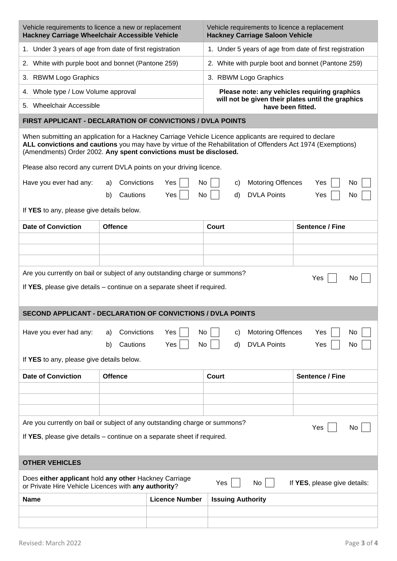| Vehicle requirements to licence a new or replacement<br>Hackney Carriage Wheelchair Accessible Vehicle                                                                                                                                                                                        |                                                                                                    |                       | Vehicle requirements to licence a replacement<br><b>Hackney Carriage Saloon Vehicle</b> |                                                         |                                                    |    |  |  |
|-----------------------------------------------------------------------------------------------------------------------------------------------------------------------------------------------------------------------------------------------------------------------------------------------|----------------------------------------------------------------------------------------------------|-----------------------|-----------------------------------------------------------------------------------------|---------------------------------------------------------|----------------------------------------------------|----|--|--|
| 1. Under 3 years of age from date of first registration                                                                                                                                                                                                                                       |                                                                                                    |                       |                                                                                         | 1. Under 5 years of age from date of first registration |                                                    |    |  |  |
| 2. White with purple boot and bonnet (Pantone 259)                                                                                                                                                                                                                                            |                                                                                                    |                       |                                                                                         |                                                         | 2. White with purple boot and bonnet (Pantone 259) |    |  |  |
| 3. RBWM Logo Graphics                                                                                                                                                                                                                                                                         |                                                                                                    |                       |                                                                                         | 3. RBWM Logo Graphics                                   |                                                    |    |  |  |
| 4. Whole type / Low Volume approval                                                                                                                                                                                                                                                           |                                                                                                    |                       |                                                                                         | Please note: any vehicles requiring graphics            |                                                    |    |  |  |
|                                                                                                                                                                                                                                                                                               | will not be given their plates until the graphics<br>5. Wheelchair Accessible<br>have been fitted. |                       |                                                                                         |                                                         |                                                    |    |  |  |
| FIRST APPLICANT - DECLARATION OF CONVICTIONS / DVLA POINTS                                                                                                                                                                                                                                    |                                                                                                    |                       |                                                                                         |                                                         |                                                    |    |  |  |
| When submitting an application for a Hackney Carriage Vehicle Licence applicants are required to declare<br>ALL convictions and cautions you may have by virtue of the Rehabilitation of Offenders Act 1974 (Exemptions)<br>(Amendments) Order 2002. Any spent convictions must be disclosed. |                                                                                                    |                       |                                                                                         |                                                         |                                                    |    |  |  |
| Please also record any current DVLA points on your driving licence.                                                                                                                                                                                                                           |                                                                                                    |                       |                                                                                         |                                                         |                                                    |    |  |  |
| Have you ever had any:                                                                                                                                                                                                                                                                        | Convictions<br>a)                                                                                  | Yes                   | No<br>C)                                                                                | <b>Motoring Offences</b>                                | Yes                                                | No |  |  |
|                                                                                                                                                                                                                                                                                               | Cautions<br>b)                                                                                     | Yes                   | No<br>d)                                                                                | <b>DVLA Points</b>                                      | Yes                                                | No |  |  |
| If YES to any, please give details below.                                                                                                                                                                                                                                                     |                                                                                                    |                       |                                                                                         |                                                         |                                                    |    |  |  |
| <b>Date of Conviction</b>                                                                                                                                                                                                                                                                     | <b>Offence</b>                                                                                     |                       | Court                                                                                   |                                                         | <b>Sentence / Fine</b>                             |    |  |  |
|                                                                                                                                                                                                                                                                                               |                                                                                                    |                       |                                                                                         |                                                         |                                                    |    |  |  |
|                                                                                                                                                                                                                                                                                               |                                                                                                    |                       |                                                                                         |                                                         |                                                    |    |  |  |
|                                                                                                                                                                                                                                                                                               |                                                                                                    |                       |                                                                                         |                                                         |                                                    |    |  |  |
| Are you currently on bail or subject of any outstanding charge or summons?<br>Yes<br>No.<br>If YES, please give details – continue on a separate sheet if required.                                                                                                                           |                                                                                                    |                       |                                                                                         |                                                         |                                                    |    |  |  |
| <b>SECOND APPLICANT - DECLARATION OF CONVICTIONS / DVLA POINTS</b>                                                                                                                                                                                                                            |                                                                                                    |                       |                                                                                         |                                                         |                                                    |    |  |  |
| Convictions<br>Yes<br><b>Motoring Offences</b><br>Have you ever had any:<br>No<br>No<br>Yes<br>C)<br>a)<br>Cautions<br>Yes<br><b>DVLA Points</b><br>No<br>d)<br>Yes<br>b)<br>No                                                                                                               |                                                                                                    |                       |                                                                                         |                                                         |                                                    |    |  |  |
| If YES to any, please give details below.                                                                                                                                                                                                                                                     |                                                                                                    |                       |                                                                                         |                                                         |                                                    |    |  |  |
| <b>Date of Conviction</b>                                                                                                                                                                                                                                                                     | <b>Offence</b>                                                                                     |                       | <b>Court</b>                                                                            |                                                         | <b>Sentence / Fine</b>                             |    |  |  |
|                                                                                                                                                                                                                                                                                               |                                                                                                    |                       |                                                                                         |                                                         |                                                    |    |  |  |
|                                                                                                                                                                                                                                                                                               |                                                                                                    |                       |                                                                                         |                                                         |                                                    |    |  |  |
| Are you currently on bail or subject of any outstanding charge or summons?                                                                                                                                                                                                                    |                                                                                                    |                       |                                                                                         |                                                         |                                                    |    |  |  |
| Yes<br>No<br>If YES, please give details – continue on a separate sheet if required.                                                                                                                                                                                                          |                                                                                                    |                       |                                                                                         |                                                         |                                                    |    |  |  |
| <b>OTHER VEHICLES</b>                                                                                                                                                                                                                                                                         |                                                                                                    |                       |                                                                                         |                                                         |                                                    |    |  |  |
| Does either applicant hold any other Hackney Carriage<br>If YES, please give details:<br>Yes<br>No<br>or Private Hire Vehicle Licences with any authority?                                                                                                                                    |                                                                                                    |                       |                                                                                         |                                                         |                                                    |    |  |  |
| Name                                                                                                                                                                                                                                                                                          |                                                                                                    |                       |                                                                                         |                                                         |                                                    |    |  |  |
|                                                                                                                                                                                                                                                                                               |                                                                                                    | <b>Licence Number</b> | <b>Issuing Authority</b>                                                                |                                                         |                                                    |    |  |  |